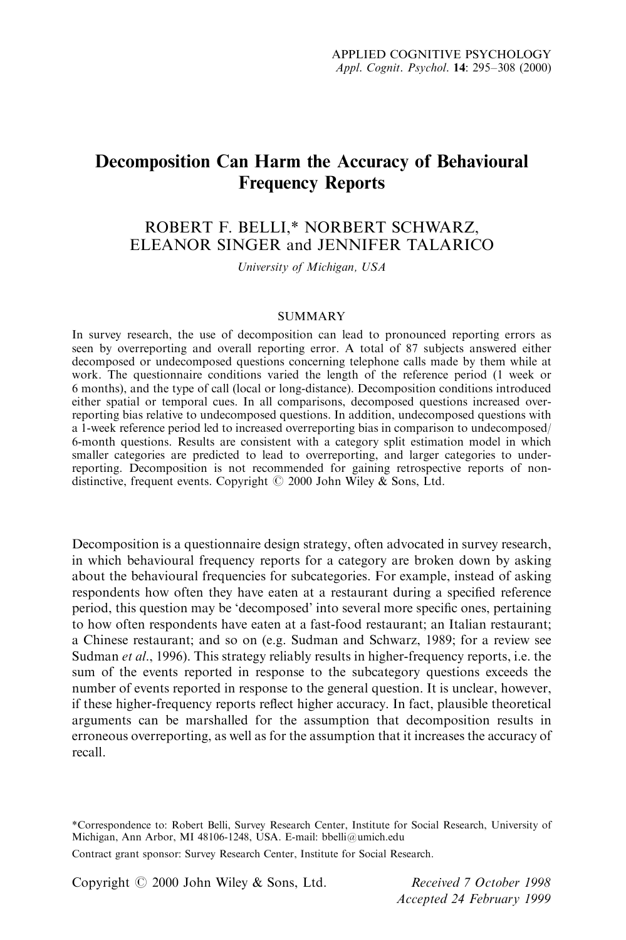# Decomposition Can Harm the Accuracy of Behavioural Frequency Reports

# ROBERT F. BELLI,\* NORBERT SCHWARZ, ELEANOR SINGER and JENNIFER TALARICO

University of Michigan, USA

#### **SUMMARY**

In survey research, the use of decomposition can lead to pronounced reporting errors as seen by overreporting and overall reporting error. A total of 87 subjects answered either decomposed or undecomposed questions concerning telephone calls made by them while at work. The questionnaire conditions varied the length of the reference period (1 week or 6 months), and the type of call (local or long-distance). Decomposition conditions introduced either spatial or temporal cues. In all comparisons, decomposed questions increased overreporting bias relative to undecomposed questions. In addition, undecomposed questions with a 1-week reference period led to increased overreporting bias in comparison to undecomposed/ 6-month questions. Results are consistent with a category split estimation model in which smaller categories are predicted to lead to overreporting, and larger categories to underreporting. Decomposition is not recommended for gaining retrospective reports of nondistinctive, frequent events. Copyright  $\odot$  2000 John Wiley & Sons, Ltd.

Decomposition is a questionnaire design strategy, often advocated in survey research, in which behavioural frequency reports for a category are broken down by asking about the behavioural frequencies for subcategories. For example, instead of asking respondents how often they have eaten at a restaurant during a specified reference period, this question may be 'decomposed' into several more specific ones, pertaining to how often respondents have eaten at a fast-food restaurant; an Italian restaurant; a Chinese restaurant; and so on (e.g. Sudman and Schwarz, 1989; for a review see Sudman et al., 1996). This strategy reliably results in higher-frequency reports, i.e. the sum of the events reported in response to the subcategory questions exceeds the number of events reported in response to the general question. It is unclear, however, if these higher-frequency reports reflect higher accuracy. In fact, plausible theoretical arguments can be marshalled for the assumption that decomposition results in erroneous overreporting, as well as for the assumption that it increases the accuracy of recall.

Copyright  $\odot$  2000 John Wiley & Sons, Ltd. Received 7 October 1998

Accepted 24 February 1999

<sup>\*</sup>Correspondence to: Robert Belli, Survey Research Center, Institute for Social Research, University of Michigan, Ann Arbor, MI 48106-1248, USA. E-mail: bbelli@umich.edu

Contract grant sponsor: Survey Research Center, Institute for Social Research.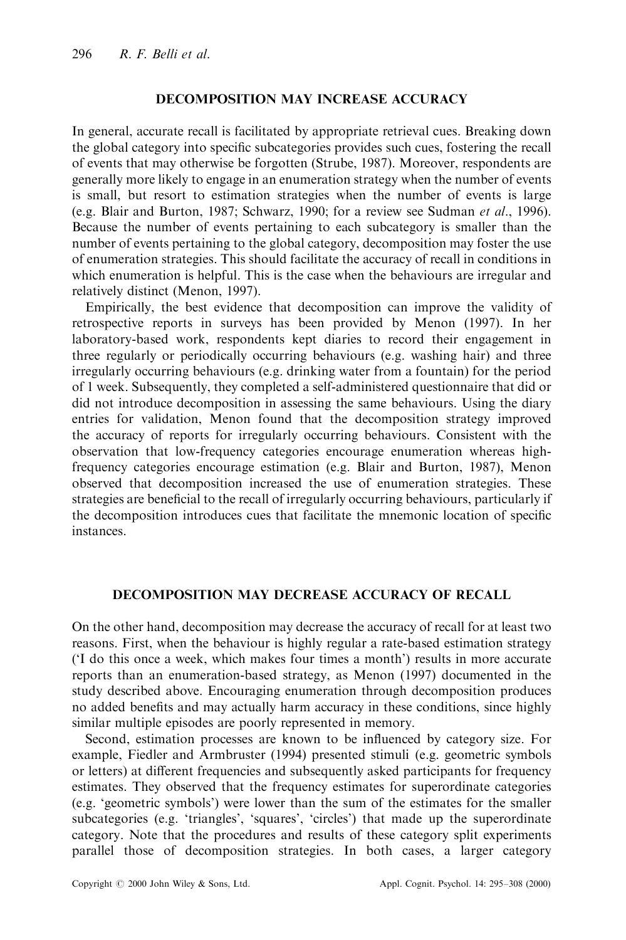#### DECOMPOSITION MAY INCREASE ACCURACY

In general, accurate recall is facilitated by appropriate retrieval cues. Breaking down the global category into specific subcategories provides such cues, fostering the recall of events that may otherwise be forgotten (Strube, 1987). Moreover, respondents are generally more likely to engage in an enumeration strategy when the number of events is small, but resort to estimation strategies when the number of events is large (e.g. Blair and Burton, 1987; Schwarz, 1990; for a review see Sudman et al., 1996). Because the number of events pertaining to each subcategory is smaller than the number of events pertaining to the global category, decomposition may foster the use of enumeration strategies. This should facilitate the accuracy of recall in conditions in which enumeration is helpful. This is the case when the behaviours are irregular and relatively distinct (Menon, 1997).

Empirically, the best evidence that decomposition can improve the validity of retrospective reports in surveys has been provided by Menon (1997). In her laboratory-based work, respondents kept diaries to record their engagement in three regularly or periodically occurring behaviours (e.g. washing hair) and three irregularly occurring behaviours (e.g. drinking water from a fountain) for the period of 1 week. Subsequently, they completed a self-administered questionnaire that did or did not introduce decomposition in assessing the same behaviours. Using the diary entries for validation, Menon found that the decomposition strategy improved the accuracy of reports for irregularly occurring behaviours. Consistent with the observation that low-frequency categories encourage enumeration whereas highfrequency categories encourage estimation (e.g. Blair and Burton, 1987), Menon observed that decomposition increased the use of enumeration strategies. These strategies are beneficial to the recall of irregularly occurring behaviours, particularly if the decomposition introduces cues that facilitate the mnemonic location of specific instances.

# DECOMPOSITION MAY DECREASE ACCURACY OF RECALL

On the other hand, decomposition may decrease the accuracy of recall for at least two reasons. First, when the behaviour is highly regular a rate-based estimation strategy (`I do this once a week, which makes four times a month') results in more accurate reports than an enumeration-based strategy, as Menon (1997) documented in the study described above. Encouraging enumeration through decomposition produces no added benefits and may actually harm accuracy in these conditions, since highly similar multiple episodes are poorly represented in memory.

Second, estimation processes are known to be influenced by category size. For example, Fiedler and Armbruster (1994) presented stimuli (e.g. geometric symbols or letters) at different frequencies and subsequently asked participants for frequency estimates. They observed that the frequency estimates for superordinate categories (e.g. `geometric symbols') were lower than the sum of the estimates for the smaller subcategories (e.g. 'triangles', 'squares', 'circles') that made up the superordinate category. Note that the procedures and results of these category split experiments parallel those of decomposition strategies. In both cases, a larger category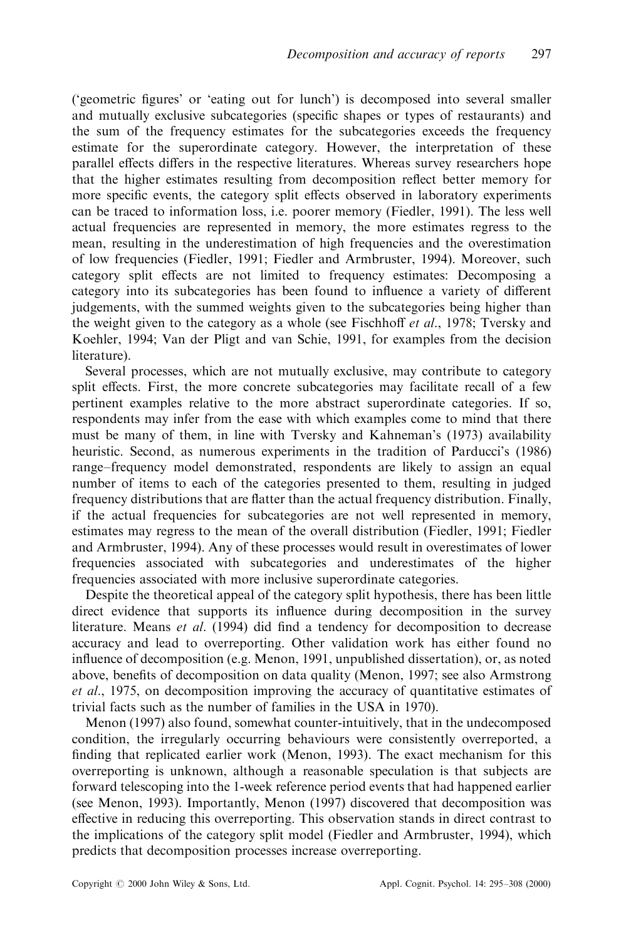('geometric figures' or 'eating out for lunch') is decomposed into several smaller and mutually exclusive subcategories (specific shapes or types of restaurants) and the sum of the frequency estimates for the subcategories exceeds the frequency estimate for the superordinate category. However, the interpretation of these parallel effects differs in the respective literatures. Whereas survey researchers hope that the higher estimates resulting from decomposition reflect better memory for more specific events, the category split effects observed in laboratory experiments can be traced to information loss, i.e. poorer memory (Fiedler, 1991). The less well actual frequencies are represented in memory, the more estimates regress to the mean, resulting in the underestimation of high frequencies and the overestimation of low frequencies (Fiedler, 1991; Fiedler and Armbruster, 1994). Moreover, such category split effects are not limited to frequency estimates: Decomposing a category into its subcategories has been found to influence a variety of different judgements, with the summed weights given to the subcategories being higher than the weight given to the category as a whole (see Fischhoff *et al.*, 1978; Tversky and Koehler, 1994; Van der Pligt and van Schie, 1991, for examples from the decision literature).

Several processes, which are not mutually exclusive, may contribute to category split effects. First, the more concrete subcategories may facilitate recall of a few pertinent examples relative to the more abstract superordinate categories. If so, respondents may infer from the ease with which examples come to mind that there must be many of them, in line with Tversky and Kahneman's (1973) availability heuristic. Second, as numerous experiments in the tradition of Parducci's (1986) range–frequency model demonstrated, respondents are likely to assign an equal number of items to each of the categories presented to them, resulting in judged frequency distributions that are flatter than the actual frequency distribution. Finally, if the actual frequencies for subcategories are not well represented in memory, estimates may regress to the mean of the overall distribution (Fiedler, 1991; Fiedler and Armbruster, 1994). Any of these processes would result in overestimates of lower frequencies associated with subcategories and underestimates of the higher frequencies associated with more inclusive superordinate categories.

Despite the theoretical appeal of the category split hypothesis, there has been little direct evidence that supports its influence during decomposition in the survey literature. Means  $et \ al.$  (1994) did find a tendency for decomposition to decrease accuracy and lead to overreporting. Other validation work has either found no influence of decomposition (e.g. Menon, 1991, unpublished dissertation), or, as noted above, benefits of decomposition on data quality (Menon, 1997; see also Armstrong et al., 1975, on decomposition improving the accuracy of quantitative estimates of trivial facts such as the number of families in the USA in 1970).

Menon (1997) also found, somewhat counter-intuitively, that in the undecomposed condition, the irregularly occurring behaviours were consistently overreported, a finding that replicated earlier work (Menon, 1993). The exact mechanism for this overreporting is unknown, although a reasonable speculation is that subjects are forward telescoping into the 1-week reference period events that had happened earlier (see Menon, 1993). Importantly, Menon (1997) discovered that decomposition was effective in reducing this overreporting. This observation stands in direct contrast to the implications of the category split model (Fiedler and Armbruster, 1994), which predicts that decomposition processes increase overreporting.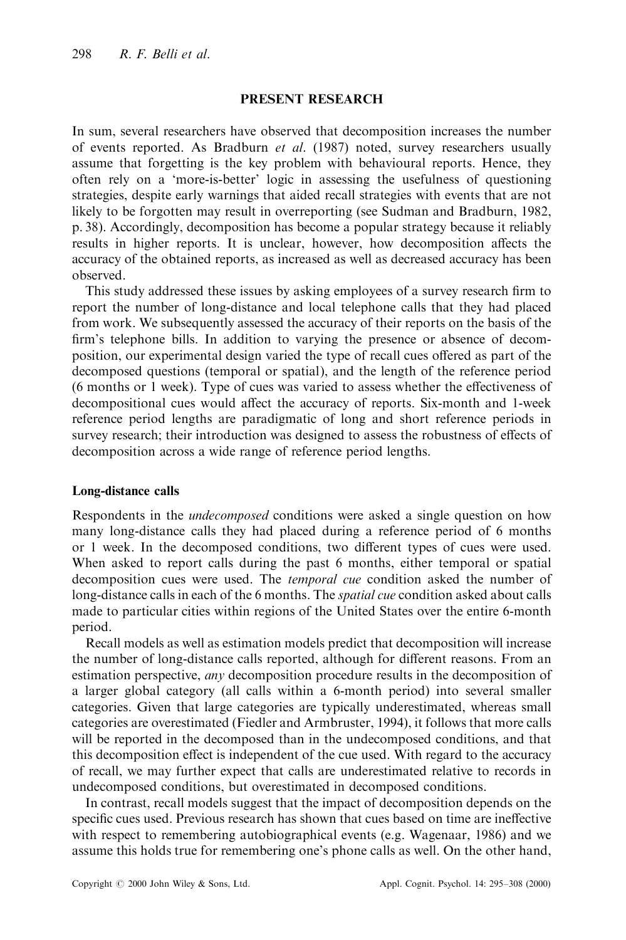#### PRESENT RESEARCH

In sum, several researchers have observed that decomposition increases the number of events reported. As Bradburn et al. (1987) noted, survey researchers usually assume that forgetting is the key problem with behavioural reports. Hence, they often rely on a `more-is-better' logic in assessing the usefulness of questioning strategies, despite early warnings that aided recall strategies with events that are not likely to be forgotten may result in overreporting (see Sudman and Bradburn, 1982, p. 38). Accordingly, decomposition has become a popular strategy because it reliably results in higher reports. It is unclear, however, how decomposition affects the accuracy of the obtained reports, as increased as well as decreased accuracy has been observed.

This study addressed these issues by asking employees of a survey research firm to report the number of long-distance and local telephone calls that they had placed from work. We subsequently assessed the accuracy of their reports on the basis of the firm's telephone bills. In addition to varying the presence or absence of decomposition, our experimental design varied the type of recall cues offered as part of the decomposed questions (temporal or spatial), and the length of the reference period (6 months or 1 week). Type of cues was varied to assess whether the effectiveness of decompositional cues would affect the accuracy of reports. Six-month and 1-week reference period lengths are paradigmatic of long and short reference periods in survey research; their introduction was designed to assess the robustness of effects of decomposition across a wide range of reference period lengths.

#### Long-distance calls

Respondents in the *undecomposed* conditions were asked a single question on how many long-distance calls they had placed during a reference period of 6 months or 1 week. In the decomposed conditions, two different types of cues were used. When asked to report calls during the past 6 months, either temporal or spatial decomposition cues were used. The temporal cue condition asked the number of long-distance calls in each of the 6 months. The *spatial cue* condition asked about calls made to particular cities within regions of the United States over the entire 6-month period.

Recall models as well as estimation models predict that decomposition will increase the number of long-distance calls reported, although for different reasons. From an estimation perspective, *any* decomposition procedure results in the decomposition of a larger global category (all calls within a 6-month period) into several smaller categories. Given that large categories are typically underestimated, whereas small categories are overestimated (Fiedler and Armbruster, 1994), it follows that more calls will be reported in the decomposed than in the undecomposed conditions, and that this decomposition effect is independent of the cue used. With regard to the accuracy of recall, we may further expect that calls are underestimated relative to records in undecomposed conditions, but overestimated in decomposed conditions.

In contrast, recall models suggest that the impact of decomposition depends on the specific cues used. Previous research has shown that cues based on time are ineffective with respect to remembering autobiographical events (e.g. Wagenaar, 1986) and we assume this holds true for remembering one's phone calls as well. On the other hand,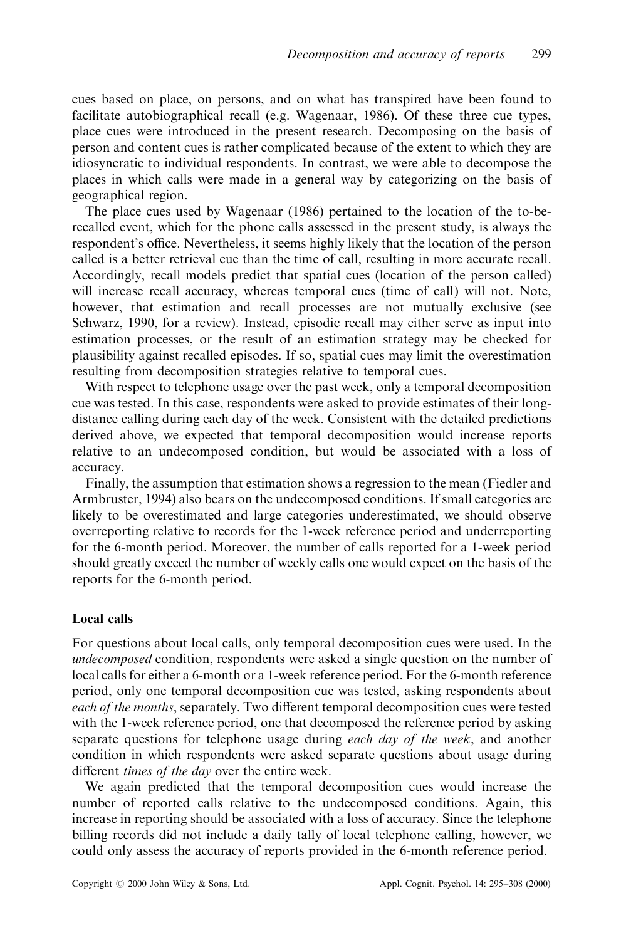cues based on place, on persons, and on what has transpired have been found to facilitate autobiographical recall (e.g. Wagenaar, 1986). Of these three cue types, place cues were introduced in the present research. Decomposing on the basis of person and content cues is rather complicated because of the extent to which they are idiosyncratic to individual respondents. In contrast, we were able to decompose the places in which calls were made in a general way by categorizing on the basis of geographical region.

The place cues used by Wagenaar (1986) pertained to the location of the to-berecalled event, which for the phone calls assessed in the present study, is always the respondent's office. Nevertheless, it seems highly likely that the location of the person called is a better retrieval cue than the time of call, resulting in more accurate recall. Accordingly, recall models predict that spatial cues (location of the person called) will increase recall accuracy, whereas temporal cues (time of call) will not. Note, however, that estimation and recall processes are not mutually exclusive (see Schwarz, 1990, for a review). Instead, episodic recall may either serve as input into estimation processes, or the result of an estimation strategy may be checked for plausibility against recalled episodes. If so, spatial cues may limit the overestimation resulting from decomposition strategies relative to temporal cues.

With respect to telephone usage over the past week, only a temporal decomposition cue was tested. In this case, respondents were asked to provide estimates of their longdistance calling during each day of the week. Consistent with the detailed predictions derived above, we expected that temporal decomposition would increase reports relative to an undecomposed condition, but would be associated with a loss of accuracy.

Finally, the assumption that estimation shows a regression to the mean (Fiedler and Armbruster, 1994) also bears on the undecomposed conditions. If small categories are likely to be overestimated and large categories underestimated, we should observe overreporting relative to records for the 1-week reference period and underreporting for the 6-month period. Moreover, the number of calls reported for a 1-week period should greatly exceed the number of weekly calls one would expect on the basis of the reports for the 6-month period.

## Local calls

For questions about local calls, only temporal decomposition cues were used. In the undecomposed condition, respondents were asked a single question on the number of local calls for either a 6-month or a 1-week reference period. For the 6-month reference period, only one temporal decomposition cue was tested, asking respondents about each of the months, separately. Two different temporal decomposition cues were tested with the 1-week reference period, one that decomposed the reference period by asking separate questions for telephone usage during *each day of the week*, and another condition in which respondents were asked separate questions about usage during different *times of the day* over the entire week.

We again predicted that the temporal decomposition cues would increase the number of reported calls relative to the undecomposed conditions. Again, this increase in reporting should be associated with a loss of accuracy. Since the telephone billing records did not include a daily tally of local telephone calling, however, we could only assess the accuracy of reports provided in the 6-month reference period.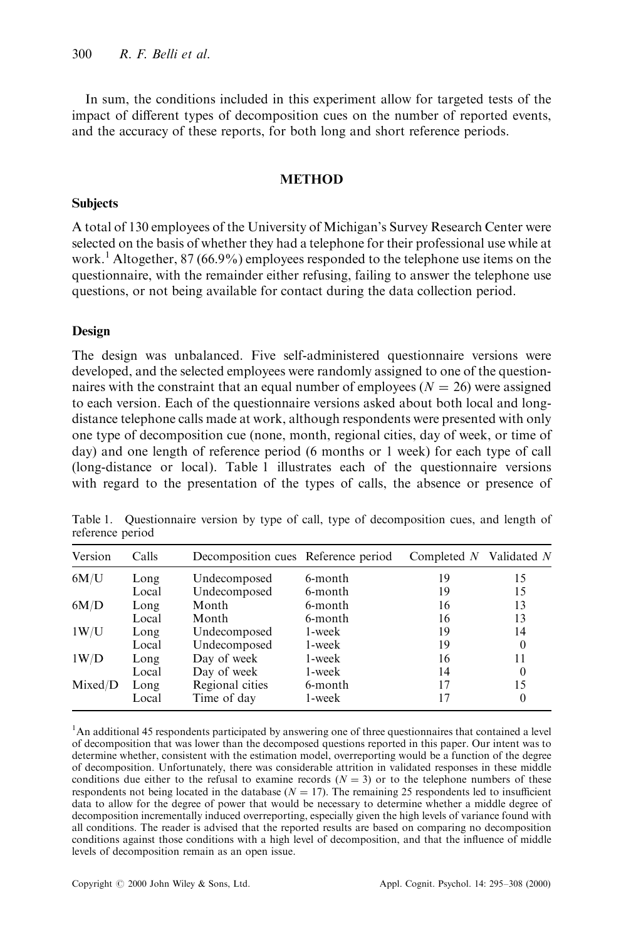In sum, the conditions included in this experiment allow for targeted tests of the impact of different types of decomposition cues on the number of reported events, and the accuracy of these reports, for both long and short reference periods.

#### **METHOD**

#### **Subjects**

A total of 130 employees of the University of Michigan's Survey Research Center were selected on the basis of whether they had a telephone for their professional use while at work.<sup>1</sup> Altogether, 87 (66.9%) employees responded to the telephone use items on the questionnaire, with the remainder either refusing, failing to answer the telephone use questions, or not being available for contact during the data collection period.

#### Design

The design was unbalanced. Five self-administered questionnaire versions were developed, and the selected employees were randomly assigned to one of the questionnaires with the constraint that an equal number of employees ( $N = 26$ ) were assigned to each version. Each of the questionnaire versions asked about both local and longdistance telephone calls made at work, although respondents were presented with only one type of decomposition cue (none, month, regional cities, day of week, or time of day) and one length of reference period (6 months or 1 week) for each type of call (long-distance or local). Table 1 illustrates each of the questionnaire versions with regard to the presentation of the types of calls, the absence or presence of

| Version | Calls | Decomposition cues Reference period |         | Completed $N$ Validated $N$ |          |
|---------|-------|-------------------------------------|---------|-----------------------------|----------|
| 6M/U    | Long  | Undecomposed                        | 6-month | 19                          | 15       |
|         | Local | Undecomposed                        | 6-month | 19                          | 15       |
| 6M/D    | Long  | Month                               | 6-month | 16                          | 13       |
|         | Local | Month                               | 6-month | 16                          | 13       |
| 1W/U    | Long  | Undecomposed                        | 1-week  | 19                          | 14       |
|         | Local | Undecomposed                        | 1-week  | 19                          | $\theta$ |
| 1W/D    | Long  | Day of week                         | 1-week  | 16                          | 11       |
|         | Local | Day of week                         | 1-week  | 14                          | $\theta$ |
| Mixed/D | Long  | Regional cities                     | 6-month | 17                          | 15       |
|         | Local | Time of day                         | 1-week  | 17                          |          |

Table 1. Questionnaire version by type of call, type of decomposition cues, and length of reference period

<sup>1</sup>An additional 45 respondents participated by answering one of three questionnaires that contained a level of decomposition that was lower than the decomposed questions reported in this paper. Our intent was to determine whether, consistent with the estimation model, overreporting would be a function of the degree of decomposition. Unfortunately, there was considerable attrition in validated responses in these middle conditions due either to the refusal to examine records  $(N = 3)$  or to the telephone numbers of these respondents not being located in the database ( $N = 17$ ). The remaining 25 respondents led to insufficient data to allow for the degree of power that would be necessary to determine whether a middle degree of decomposition incrementally induced overreporting, especially given the high levels of variance found with all conditions. The reader is advised that the reported results are based on comparing no decomposition conditions against those conditions with a high level of decomposition, and that the influence of middle levels of decomposition remain as an open issue.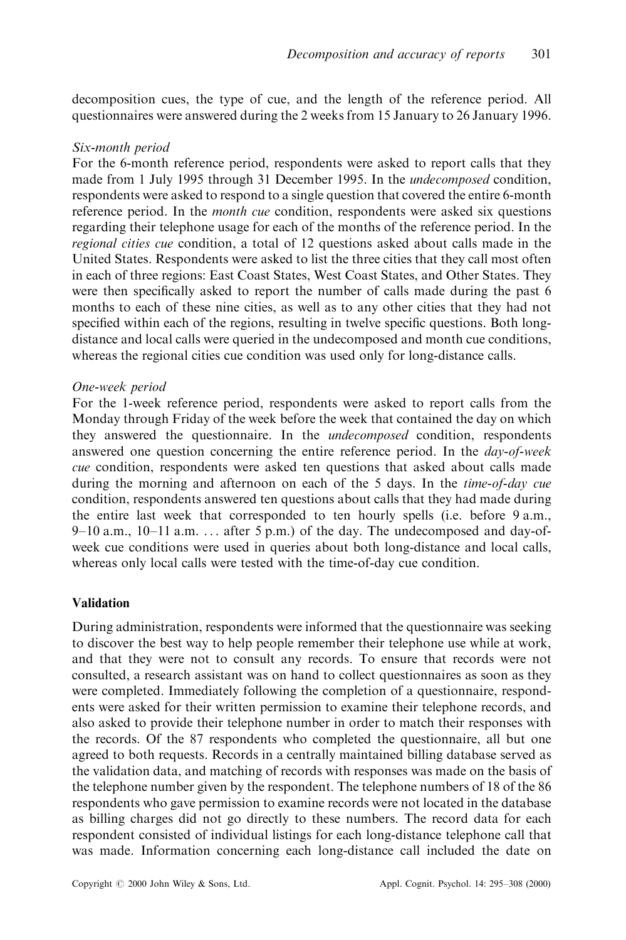decomposition cues, the type of cue, and the length of the reference period. All questionnaires were answered during the 2 weeks from 15 January to 26 January 1996.

#### Six-month period

For the 6-month reference period, respondents were asked to report calls that they made from 1 July 1995 through 31 December 1995. In the undecomposed condition, respondents were asked to respond to a single question that covered the entire 6-month reference period. In the *month cue* condition, respondents were asked six questions regarding their telephone usage for each of the months of the reference period. In the regional cities cue condition, a total of 12 questions asked about calls made in the United States. Respondents were asked to list the three cities that they call most often in each of three regions: East Coast States, West Coast States, and Other States. They were then specifically asked to report the number of calls made during the past 6 months to each of these nine cities, as well as to any other cities that they had not specified within each of the regions, resulting in twelve specific questions. Both longdistance and local calls were queried in the undecomposed and month cue conditions, whereas the regional cities cue condition was used only for long-distance calls.

#### One-week period

For the 1-week reference period, respondents were asked to report calls from the Monday through Friday of the week before the week that contained the day on which they answered the questionnaire. In the undecomposed condition, respondents answered one question concerning the entire reference period. In the day-of-week cue condition, respondents were asked ten questions that asked about calls made during the morning and afternoon on each of the 5 days. In the *time-of-day cue* condition, respondents answered ten questions about calls that they had made during the entire last week that corresponded to ten hourly spells (i.e. before 9 a.m.,  $9-10$  a.m.,  $10-11$  a.m. ... after 5 p.m.) of the day. The undecomposed and day-ofweek cue conditions were used in queries about both long-distance and local calls, whereas only local calls were tested with the time-of-day cue condition.

#### Validation

During administration, respondents were informed that the questionnaire was seeking to discover the best way to help people remember their telephone use while at work, and that they were not to consult any records. To ensure that records were not consulted, a research assistant was on hand to collect questionnaires as soon as they were completed. Immediately following the completion of a questionnaire, respondents were asked for their written permission to examine their telephone records, and also asked to provide their telephone number in order to match their responses with the records. Of the 87 respondents who completed the questionnaire, all but one agreed to both requests. Records in a centrally maintained billing database served as the validation data, and matching of records with responses was made on the basis of the telephone number given by the respondent. The telephone numbers of 18 of the 86 respondents who gave permission to examine records were not located in the database as billing charges did not go directly to these numbers. The record data for each respondent consisted of individual listings for each long-distance telephone call that was made. Information concerning each long-distance call included the date on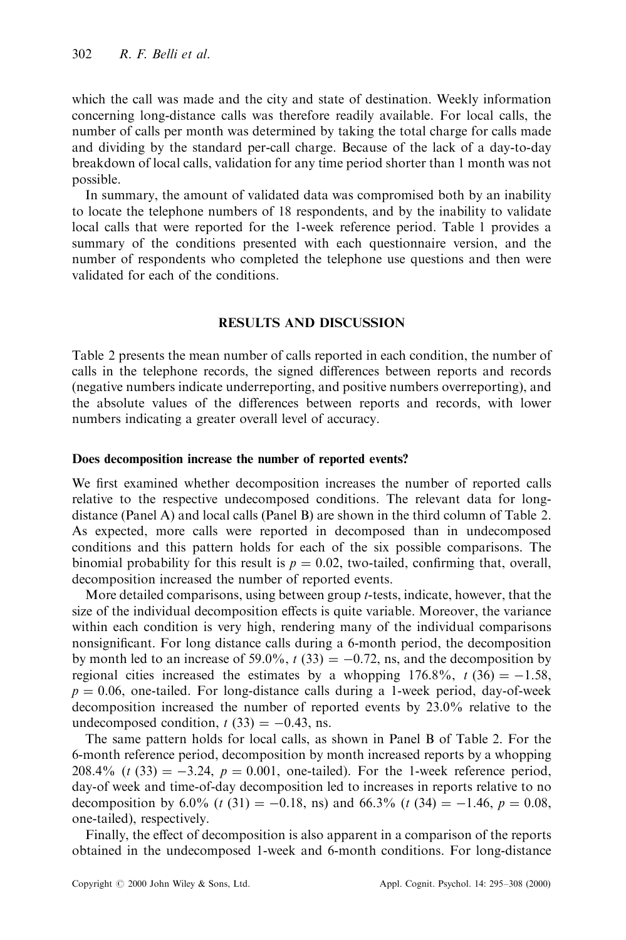which the call was made and the city and state of destination. Weekly information concerning long-distance calls was therefore readily available. For local calls, the number of calls per month was determined by taking the total charge for calls made and dividing by the standard per-call charge. Because of the lack of a day-to-day breakdown of local calls, validation for any time period shorter than 1 month was not possible.

In summary, the amount of validated data was compromised both by an inability to locate the telephone numbers of 18 respondents, and by the inability to validate local calls that were reported for the 1-week reference period. Table 1 provides a summary of the conditions presented with each questionnaire version, and the number of respondents who completed the telephone use questions and then were validated for each of the conditions.

## RESULTS AND DISCUSSION

Table 2 presents the mean number of calls reported in each condition, the number of calls in the telephone records, the signed differences between reports and records (negative numbers indicate underreporting, and positive numbers overreporting), and the absolute values of the differences between reports and records, with lower numbers indicating a greater overall level of accuracy.

#### Does decomposition increase the number of reported events?

We first examined whether decomposition increases the number of reported calls relative to the respective undecomposed conditions. The relevant data for longdistance (Panel A) and local calls (Panel B) are shown in the third column of Table 2. As expected, more calls were reported in decomposed than in undecomposed conditions and this pattern holds for each of the six possible comparisons. The binomial probability for this result is  $p = 0.02$ , two-tailed, confirming that, overall, decomposition increased the number of reported events.

More detailed comparisons, using between group t-tests, indicate, however, that the size of the individual decomposition effects is quite variable. Moreover, the variance within each condition is very high, rendering many of the individual comparisons nonsignificant. For long distance calls during a 6-month period, the decomposition by month led to an increase of 59.0%,  $t$  (33) = -0.72, ns, and the decomposition by regional cities increased the estimates by a whopping  $176.8\%$ ,  $t(36) = -1.58$ ,  $p = 0.06$ , one-tailed. For long-distance calls during a 1-week period, day-of-week decomposition increased the number of reported events by 23.0% relative to the undecomposed condition,  $t(33) = -0.43$ , ns.

The same pattern holds for local calls, as shown in Panel B of Table 2. For the 6-month reference period, decomposition by month increased reports by a whopping  $208.4\%$  (t (33) =  $-3.24$ ,  $p = 0.001$ , one-tailed). For the 1-week reference period, day-of week and time-of-day decomposition led to increases in reports relative to no decomposition by 6.0% (t (31) = -0.18, ns) and 66.3% (t (34) = -1.46,  $p = 0.08$ , one-tailed), respectively.

Finally, the effect of decomposition is also apparent in a comparison of the reports obtained in the undecomposed 1-week and 6-month conditions. For long-distance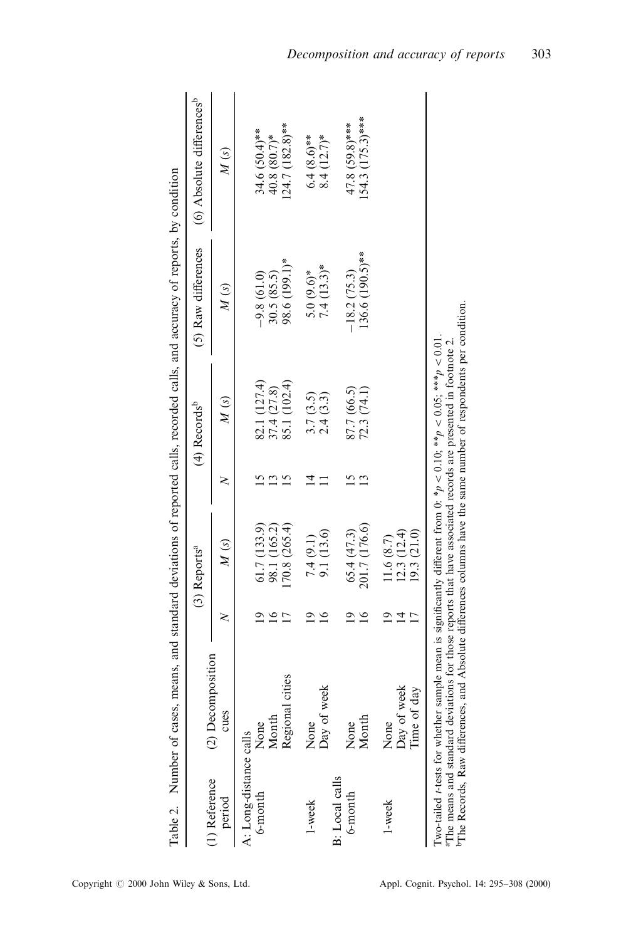|                         |                           |                | (3) Reports <sup>a</sup> |                       | $(4)$ Records <sup>b</sup> | (5) Raw differences          | (6) Absolute differences <sup>b</sup> |
|-------------------------|---------------------------|----------------|--------------------------|-----------------------|----------------------------|------------------------------|---------------------------------------|
| (1) Reference<br>period | (2) Decomposition<br>cues | ≳              | $\overline{M}(s)$        | ≳                     | $\overline{M}(s)$          | $\overline{M}(s)$            | $\overline{M}(s)$                     |
| A: Long-distance calls  |                           |                |                          |                       |                            |                              |                                       |
| 6-month                 | None                      |                | 61.7 (133.9)             |                       | 82.1 (127.4)               | $-9.8(61.0)$                 | 34.6 (50.4)**                         |
|                         | Month                     | $\frac{6}{2}$  | 98.1 (165.2)             | $\tilde{\phantom{a}}$ | 37.4 (27.8)                | 30.5(85.5)                   |                                       |
|                         | Regional cities           | Ľ              | (70.8 (265.4)            | N                     | 85.1 (102.4)               | 98.6 (199.1)*                | 40.8 $(80.7)$ *<br>124.7 $(182.8)$ ** |
| $1$ -week               | None                      | $\overline{0}$ | 7.4(9.1)                 | 4                     | 3.7(3.5)                   |                              | $6.4 (8.6)$ **                        |
|                         | Day of week               | $\tilde{16}$   | 9.1 (13.6)               |                       | 2.4(3.3)                   | $5.0 (9.6)^*$<br>7.4 (13.3)* | $8.4(12.7)$ *                         |
| B: Local calls          |                           |                |                          |                       |                            |                              |                                       |
| 6-month                 | None                      | $\overline{2}$ | 65.4(47.3)               |                       | 87.7 (66.5)                | $-18.2(75.3)$                | $47.8(59.8)***$                       |
|                         | Month                     | $\frac{6}{1}$  | 201.7 (176.6)            | $\mathbf{C}$          | 72.3(74.1)                 | 136.6 (190.5)**              | $154.3$ (175.3)***                    |
| 1-week                  | None                      | ್ರ             | 11.6 (8.7)               |                       |                            |                              |                                       |
|                         | Day of week               | ᅺ              | 12.3(12.4)               |                       |                            |                              |                                       |
|                         | Time of day               |                | 19.3(21.0)               |                       |                            |                              |                                       |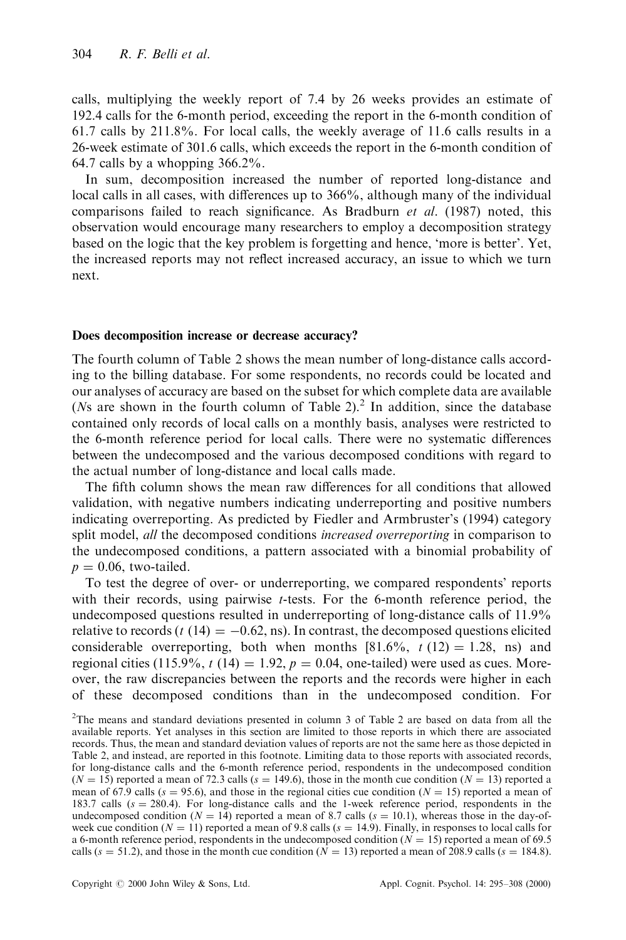calls, multiplying the weekly report of 7.4 by 26 weeks provides an estimate of 192.4 calls for the 6-month period, exceeding the report in the 6-month condition of 61.7 calls by 211.8%. For local calls, the weekly average of 11.6 calls results in a 26-week estimate of 301.6 calls, which exceeds the report in the 6-month condition of 64.7 calls by a whopping  $366.2\%$ .

In sum, decomposition increased the number of reported long-distance and local calls in all cases, with differences up to  $366\%$ , although many of the individual comparisons failed to reach significance. As Bradburn *et al.* (1987) noted, this observation would encourage many researchers to employ a decomposition strategy based on the logic that the key problem is forgetting and hence, `more is better'. Yet, the increased reports may not reflect increased accuracy, an issue to which we turn next.

#### Does decomposition increase or decrease accuracy?

The fourth column of Table 2 shows the mean number of long-distance calls according to the billing database. For some respondents, no records could be located and our analyses of accuracy are based on the subset for which complete data are available ( $Ns$  are shown in the fourth column of Table 2).<sup>2</sup> In addition, since the database contained only records of local calls on a monthly basis, analyses were restricted to the 6-month reference period for local calls. There were no systematic differences between the undecomposed and the various decomposed conditions with regard to the actual number of long-distance and local calls made.

The fifth column shows the mean raw differences for all conditions that allowed validation, with negative numbers indicating underreporting and positive numbers indicating overreporting. As predicted by Fiedler and Armbruster's (1994) category split model, *all* the decomposed conditions *increased overreporting* in comparison to the undecomposed conditions, a pattern associated with a binomial probability of  $p = 0.06$ , two-tailed.

To test the degree of over- or underreporting, we compared respondents' reports with their records, using pairwise t-tests. For the 6-month reference period, the undecomposed questions resulted in underreporting of long-distance calls of 11.9% relative to records (t (14)  $= -0.62$ , ns). In contrast, the decomposed questions elicited considerable overreporting, both when months  $[81.6\%, t(12) = 1.28, \text{ns})$  and regional cities (115.9%,  $t$  (14) = 1.92,  $p = 0.04$ , one-tailed) were used as cues. Moreover, the raw discrepancies between the reports and the records were higher in each of these decomposed conditions than in the undecomposed condition. For

<sup>&</sup>lt;sup>2</sup>The means and standard deviations presented in column 3 of Table 2 are based on data from all the available reports. Yet analyses in this section are limited to those reports in which there are associated records. Thus, the mean and standard deviation values of reports are not the same here as those depicted in Table 2, and instead, are reported in this footnote. Limiting data to those reports with associated records, for long-distance calls and the 6-month reference period, respondents in the undecomposed condition  $(N = 15)$  reported a mean of 72.3 calls (s = 149.6), those in the month cue condition ( $N = 13$ ) reported a mean of 67.9 calls ( $s = 95.6$ ), and those in the regional cities cue condition ( $N = 15$ ) reported a mean of 183.7 calls ( $s = 280.4$ ). For long-distance calls and the 1-week reference period, respondents in the undecomposed condition ( $N = 14$ ) reported a mean of 8.7 calls ( $s = 10.1$ ), whereas those in the day-ofweek cue condition ( $N = 11$ ) reported a mean of 9.8 calls ( $s = 14.9$ ). Finally, in responses to local calls for a 6-month reference period, respondents in the undecomposed condition  $(N = 15)$  reported a mean of 69.5 calls ( $s = 51.2$ ), and those in the month cue condition ( $N = 13$ ) reported a mean of 208.9 calls ( $s = 184.8$ ).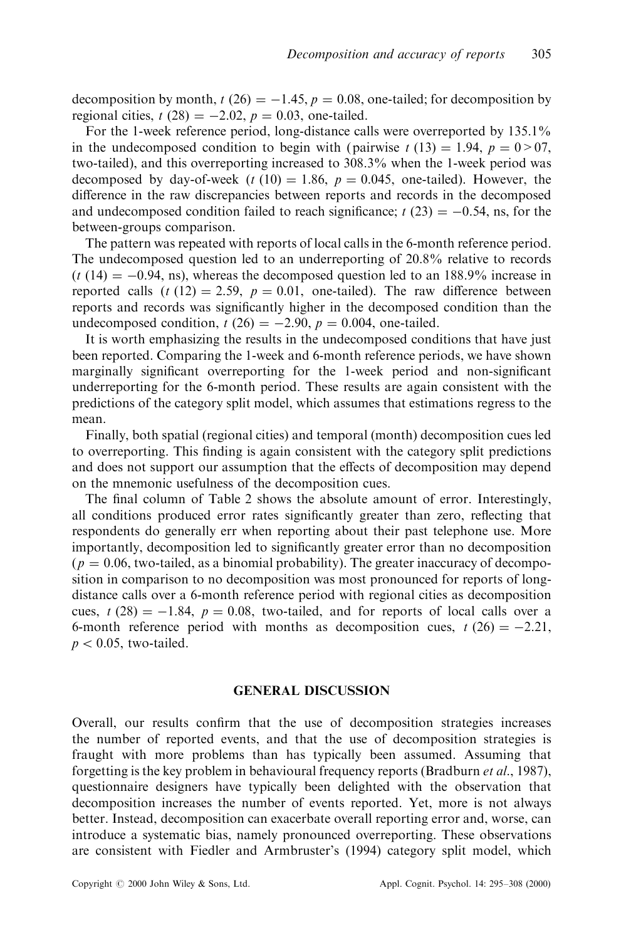decomposition by month, t (26)  $= -1.45$ ,  $p = 0.08$ , one-tailed; for decomposition by regional cities,  $t(28) = -2.02$ ,  $p = 0.03$ , one-tailed.

For the 1-week reference period, long-distance calls were overreported by 135.1% in the undecomposed condition to begin with (pairwise  $t(13) = 1.94$ ,  $p = 0.07$ , two-tailed), and this overreporting increased to 308.3% when the 1-week period was decomposed by day-of-week (t (10) = 1.86,  $p = 0.045$ , one-tailed). However, the difference in the raw discrepancies between reports and records in the decomposed and undecomposed condition failed to reach significance;  $t(23) = -0.54$ , ns, for the between-groups comparison.

The pattern was repeated with reports of local calls in the 6-month reference period. The undecomposed question led to an underreporting of 20.8% relative to records  $(t (14) = -0.94, \text{ns})$ , whereas the decomposed question led to an 188.9% increase in reported calls  $(t (12) = 2.59, p = 0.01,$  one-tailed). The raw difference between reports and records was significantly higher in the decomposed condition than the undecomposed condition,  $t(26) = -2.90$ ,  $p = 0.004$ , one-tailed.

It is worth emphasizing the results in the undecomposed conditions that have just been reported. Comparing the 1-week and 6-month reference periods, we have shown marginally significant overreporting for the 1-week period and non-significant underreporting for the 6-month period. These results are again consistent with the predictions of the category split model, which assumes that estimations regress to the mean.

Finally, both spatial (regional cities) and temporal (month) decomposition cues led to overreporting. This finding is again consistent with the category split predictions and does not support our assumption that the effects of decomposition may depend on the mnemonic usefulness of the decomposition cues.

The final column of Table 2 shows the absolute amount of error. Interestingly, all conditions produced error rates significantly greater than zero, reflecting that respondents do generally err when reporting about their past telephone use. More importantly, decomposition led to significantly greater error than no decomposition  $(p = 0.06,$  two-tailed, as a binomial probability). The greater inaccuracy of decomposition in comparison to no decomposition was most pronounced for reports of longdistance calls over a 6-month reference period with regional cities as decomposition cues,  $t (28) = -1.84$ ,  $p = 0.08$ , two-tailed, and for reports of local calls over a 6-month reference period with months as decomposition cues,  $t (26) = -2.21$ ,  $p < 0.05$ , two-tailed.

# GENERAL DISCUSSION

Overall, our results confirm that the use of decomposition strategies increases the number of reported events, and that the use of decomposition strategies is fraught with more problems than has typically been assumed. Assuming that forgetting is the key problem in behavioural frequency reports (Bradburn et al., 1987), questionnaire designers have typically been delighted with the observation that decomposition increases the number of events reported. Yet, more is not always better. Instead, decomposition can exacerbate overall reporting error and, worse, can introduce a systematic bias, namely pronounced overreporting. These observations are consistent with Fiedler and Armbruster's (1994) category split model, which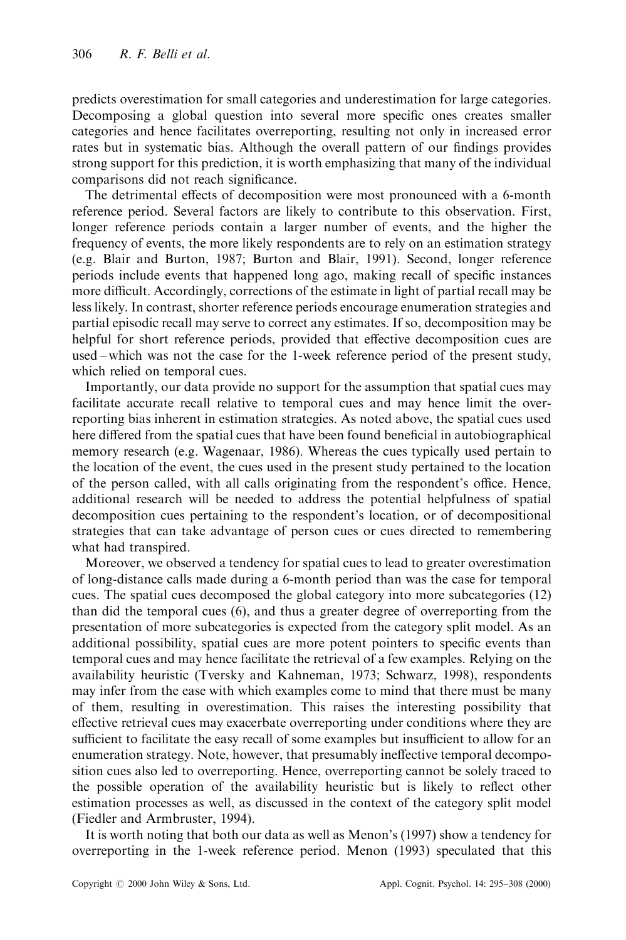predicts overestimation for small categories and underestimation for large categories. Decomposing a global question into several more specific ones creates smaller categories and hence facilitates overreporting, resulting not only in increased error rates but in systematic bias. Although the overall pattern of our findings provides strong support for this prediction, it is worth emphasizing that many of the individual comparisons did not reach significance.

The detrimental effects of decomposition were most pronounced with a 6-month reference period. Several factors are likely to contribute to this observation. First, longer reference periods contain a larger number of events, and the higher the frequency of events, the more likely respondents are to rely on an estimation strategy (e.g. Blair and Burton, 1987; Burton and Blair, 1991). Second, longer reference periods include events that happened long ago, making recall of specific instances more difficult. Accordingly, corrections of the estimate in light of partial recall may be less likely. In contrast, shorter reference periods encourage enumeration strategies and partial episodic recall may serve to correct any estimates. If so, decomposition may be helpful for short reference periods, provided that effective decomposition cues are used  $-\text{which was not the case for the 1-week reference period of the present study, }$ which relied on temporal cues.

Importantly, our data provide no support for the assumption that spatial cues may facilitate accurate recall relative to temporal cues and may hence limit the overreporting bias inherent in estimation strategies. As noted above, the spatial cues used here differed from the spatial cues that have been found beneficial in autobiographical memory research (e.g. Wagenaar, 1986). Whereas the cues typically used pertain to the location of the event, the cues used in the present study pertained to the location of the person called, with all calls originating from the respondent's office. Hence, additional research will be needed to address the potential helpfulness of spatial decomposition cues pertaining to the respondent's location, or of decompositional strategies that can take advantage of person cues or cues directed to remembering what had transpired.

Moreover, we observed a tendency for spatial cues to lead to greater overestimation of long-distance calls made during a 6-month period than was the case for temporal cues. The spatial cues decomposed the global category into more subcategories (12) than did the temporal cues (6), and thus a greater degree of overreporting from the presentation of more subcategories is expected from the category split model. As an additional possibility, spatial cues are more potent pointers to specific events than temporal cues and may hence facilitate the retrieval of a few examples. Relying on the availability heuristic (Tversky and Kahneman, 1973; Schwarz, 1998), respondents may infer from the ease with which examples come to mind that there must be many of them, resulting in overestimation. This raises the interesting possibility that effective retrieval cues may exacerbate overreporting under conditions where they are sufficient to facilitate the easy recall of some examples but insufficient to allow for an enumeration strategy. Note, however, that presumably ineffective temporal decomposition cues also led to overreporting. Hence, overreporting cannot be solely traced to the possible operation of the availability heuristic but is likely to reflect other estimation processes as well, as discussed in the context of the category split model (Fiedler and Armbruster, 1994).

It is worth noting that both our data as well as Menon's (1997) show a tendency for overreporting in the 1-week reference period. Menon (1993) speculated that this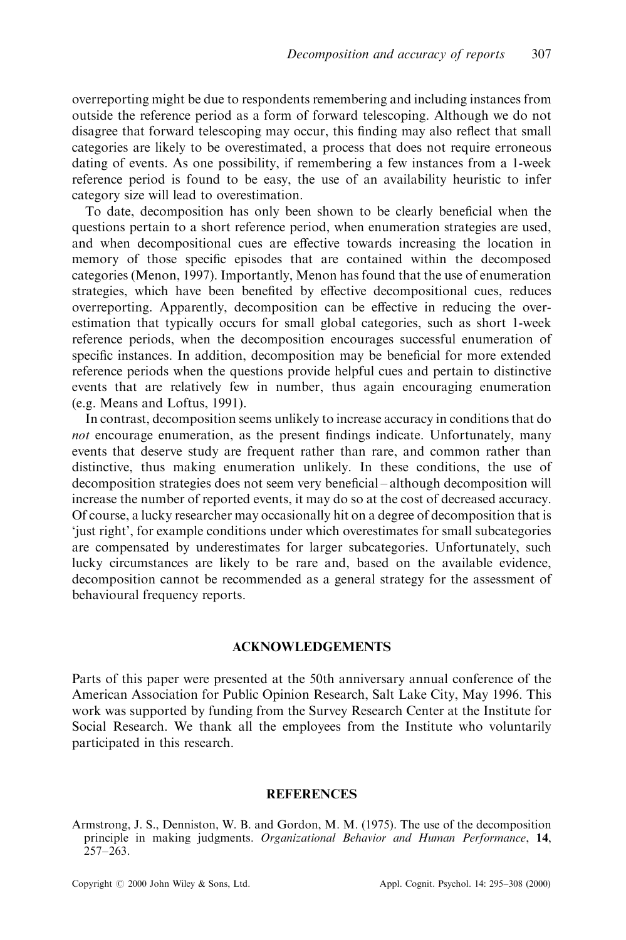overreporting might be due to respondents remembering and including instances from outside the reference period as a form of forward telescoping. Although we do not disagree that forward telescoping may occur, this finding may also reflect that small categories are likely to be overestimated, a process that does not require erroneous dating of events. As one possibility, if remembering a few instances from a 1-week reference period is found to be easy, the use of an availability heuristic to infer category size will lead to overestimation.

To date, decomposition has only been shown to be clearly beneficial when the questions pertain to a short reference period, when enumeration strategies are used, and when decompositional cues are effective towards increasing the location in memory of those specific episodes that are contained within the decomposed categories (Menon, 1997). Importantly, Menon has found that the use of enumeration strategies, which have been benefited by effective decompositional cues, reduces overreporting. Apparently, decomposition can be effective in reducing the overestimation that typically occurs for small global categories, such as short 1-week reference periods, when the decomposition encourages successful enumeration of specific instances. In addition, decomposition may be beneficial for more extended reference periods when the questions provide helpful cues and pertain to distinctive events that are relatively few in number, thus again encouraging enumeration (e.g. Means and Loftus, 1991).

In contrast, decomposition seems unlikely to increase accuracy in conditions that do not encourage enumeration, as the present findings indicate. Unfortunately, many events that deserve study are frequent rather than rare, and common rather than distinctive, thus making enumeration unlikely. In these conditions, the use of decomposition strategies does not seem very beneficial – although decomposition will increase the number of reported events, it may do so at the cost of decreased accuracy. Of course, a lucky researcher may occasionally hit on a degree of decomposition that is `just right', for example conditions under which overestimates for small subcategories are compensated by underestimates for larger subcategories. Unfortunately, such lucky circumstances are likely to be rare and, based on the available evidence, decomposition cannot be recommended as a general strategy for the assessment of behavioural frequency reports.

#### ACKNOWLEDGEMENTS

Parts of this paper were presented at the 50th anniversary annual conference of the American Association for Public Opinion Research, Salt Lake City, May 1996. This work was supported by funding from the Survey Research Center at the Institute for Social Research. We thank all the employees from the Institute who voluntarily participated in this research.

#### **REFERENCES**

Armstrong, J. S., Denniston, W. B. and Gordon, M. M. (1975). The use of the decomposition principle in making judgments. Organizational Behavior and Human Performance, 14,  $257 - 263$ .